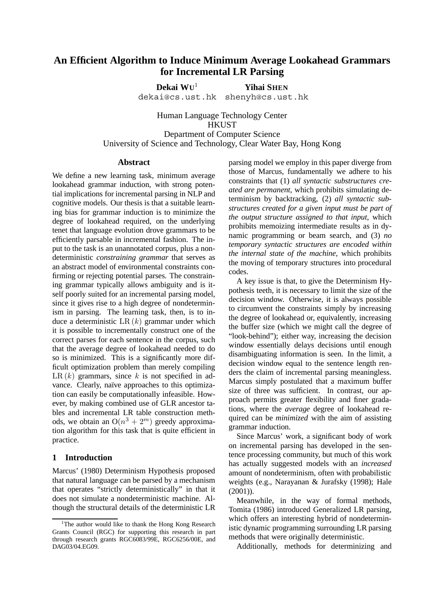# **An Efficient Algorithm to Induce Minimum Average Lookahead Grammars for Incremental LR Parsing**

**Dekai WU**<sup>1</sup> **Yihai SHEN** dekai@cs.ust.hk shenyh@cs.ust.hk

Human Language Technology Center **HKUST** Department of Computer Science University of Science and Technology, Clear Water Bay, Hong Kong

#### **Abstract**

We define a new learning task, minimum average lookahead grammar induction, with strong potential implications for incremental parsing in NLP and cognitive models. Our thesis is that a suitable learning bias for grammar induction is to minimize the degree of lookahead required, on the underlying tenet that language evolution drove grammars to be efficiently parsable in incremental fashion. The input to the task is an unannotated corpus, plus a nondeterministic *constraining grammar* that serves as an abstract model of environmental constraints confirming or rejecting potential parses. The constraining grammar typically allows ambiguity and is itself poorly suited for an incremental parsing model, since it gives rise to a high degree of nondeterminism in parsing. The learning task, then, is to induce a deterministic  $LR (k)$  grammar under which it is possible to incrementally construct one of the correct parses for each sentence in the corpus, such that the average degree of lookahead needed to do so is minimized. This is a significantly more difficult optimization problem than merely compiling LR  $(k)$  grammars, since k is not specified in advance. Clearly, naïve approaches to this optimization can easily be computationally infeasible. However, by making combined use of GLR ancestor tables and incremental LR table construction methods, we obtain an  $O(n^3 + 2^m)$  greedy approximation algorithm for this task that is quite efficient in practice.

### **1 Introduction**

Marcus' (1980) Determinism Hypothesis proposed that natural language can be parsed by a mechanism that operates "strictly deterministically" in that it does not simulate a nondeterministic machine. Although the structural details of the deterministic LR parsing model we employ in this paper diverge from those of Marcus, fundamentally we adhere to his constraints that (1) *all syntactic substructures created are permanent,* which prohibits simulating determinism by backtracking, (2) *all syntactic substructures created for a given input must be part of the output structure assigned to that input*, which prohibits memoizing intermediate results as in dynamic programming or beam search, and (3) *no temporary syntactic structures are encoded within the internal state of the machine*, which prohibits the moving of temporary structures into procedural codes.

A key issue is that, to give the Determinism Hypothesis teeth, it is necessary to limit the size of the decision window. Otherwise, it is always possible to circumvent the constraints simply by increasing the degree of lookahead or, equivalently, increasing the buffer size (which we might call the degree of "look-behind"); either way, increasing the decision window essentially delays decisions until enough disambiguating information is seen. In the limit, a decision window equal to the sentence length renders the claim of incremental parsing meaningless. Marcus simply postulated that a maximum buffer size of three was sufficient. In contrast, our approach permits greater flexibility and finer gradations, where the *average* degree of lookahead required can be *minimized* with the aim of assisting grammar induction.

Since Marcus' work, a significant body of work on incremental parsing has developed in the sentence processing community, but much of this work has actually suggested models with an *increased* amount of nondeterminism, often with probabilistic weights (e.g., Narayanan & Jurafsky (1998); Hale (2001)).

Meanwhile, in the way of formal methods, Tomita (1986) introduced Generalized LR parsing, which offers an interesting hybrid of nondeterministic dynamic programming surrounding LR parsing methods that were originally deterministic.

Additionally, methods for determinizing and

<sup>&</sup>lt;sup>1</sup>The author would like to thank the Hong Kong Research Grants Council (RGC) for supporting this research in part through research grants RGC6083/99E, RGC6256/00E, and DAG03/04.EG09.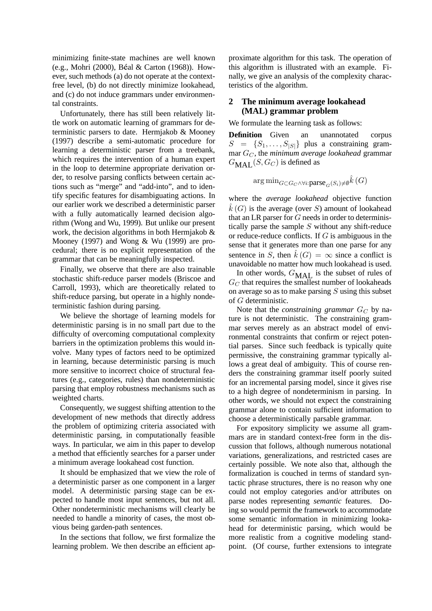minimizing finite-state machines are well known (e.g., Mohri (2000), B al & Carton (1968)). However, such methods (a) do not operate at the contextfree level, (b) do not directly minimize lookahead, and (c) do not induce grammars under environmental constraints.

Unfortunately, there has still been relatively little work on automatic learning of grammars for deterministic parsers to date. Hermjakob & Mooney (1997) describe a semi-automatic procedure for learning a deterministic parser from a treebank, which requires the intervention of a human expert in the loop to determine appropriate derivation order, to resolve parsing conflicts between certain actions such as "merge" and "add-into", and to identify specific features for disambiguating actions. In our earlier work we described a deterministic parser with a fully automatically learned decision algorithm (Wong and Wu, 1999). But unlike our present work, the decision algorithms in both Hermjakob & Mooney (1997) and Wong & Wu (1999) are procedural; there is no explicit representation of the grammar that can be meaningfully inspected.

Finally, we observe that there are also trainable stochastic shift-reduce parser models (Briscoe and Carroll, 1993), which are theoretically related to shift-reduce parsing, but operate in a highly nondeterministic fashion during parsing.

We believe the shortage of learning models for deterministic parsing is in no small part due to the difficulty of overcoming computational complexity barriers in the optimization problems this would involve. Many types of factors need to be optimized in learning, because deterministic parsing is much more sensitive to incorrect choice of structural features (e.g., categories, rules) than nondeterministic parsing that employ robustness mechanisms such as weighted charts.

Consequently, we suggest shifting attention to the development of new methods that directly address the problem of optimizing criteria associated with deterministic parsing, in computationally feasible ways. In particular, we aim in this paper to develop a method that efficiently searches for a parser under a minimum average lookahead cost function.

It should be emphasized that we view the role of a deterministic parser as one component in a larger model. A deterministic parsing stage can be expected to handle most input sentences, but not all. Other nondeterministic mechanisms will clearly be needed to handle a minority of cases, the most obvious being garden-path sentences.

In the sections that follow, we first formalize the learning problem. We then describe an efficient approximate algorithm for this task. The operation of this algorithm is illustrated with an example. Finally, we give an analysis of the complexity characteristics of the algorithm.

### **2 The minimum average lookahead (MAL) grammar problem**

We formulate the learning task as follows:

**Definition** Given an unannotated corpus  $S = {S_1, \ldots, S_{|S|}}$  plus a constraining grammar GC, the *minimum average lookahead* grammar  $G_{\text{MAL}}(S, G_C)$  is defined as

$$
\arg\min_{G \subset G_C \land \forall i:\text{parse}_G(S_i) \neq \emptyset} \hat{k}(G)
$$

where the *average lookahead* objective function  $\hat{k}(G)$  is the average (over S) amount of lookahead<br>that an I R parser for G needs in order to deterministhat an LR parser for  $G$  needs in order to deterministically parse the sample  $S$  without any shift-reduce or reduce-reduce conflicts. If  $G$  is ambiguous in the sense that it generates more than one parse for any sentence in S, then  $\hat{k}(G) = \infty$  since a conflict is used unavoidable no matter how much lookahead is used.

In other words,  $G_{\text{MAI}}$  is the subset of rules of  $G_C$  that requires the smallest number of lookaheads on average so as to make parsing  $S$  using this subset of G deterministic.

Note that the *constraining grammar*  $G_C$  by nature is not deterministic. The constraining grammar serves merely as an abstract model of environmental constraints that confirm or reject potential parses. Since such feedback is typically quite permissive, the constraining grammar typically allows a great deal of ambiguity. This of course renders the constraining grammar itself poorly suited for an incremental parsing model, since it gives rise to a high degree of nondeterminism in parsing. In other words, we should not expect the constraining grammar alone to contain sufficient information to choose a deterministically parsable grammar.

For expository simplicity we assume all grammars are in standard context-free form in the discussion that follows, although numerous notational variations, generalizations, and restricted cases are certainly possible. We note also that, although the formalization is couched in terms of standard syntactic phrase structures, there is no reason why one could not employ categories and/or attributes on parse nodes representing *semantic* features. Doing so would permit the framework to accommodate some semantic information in minimizing lookahead for deterministic parsing, which would be more realistic from a cognitive modeling standpoint. (Of course, further extensions to integrate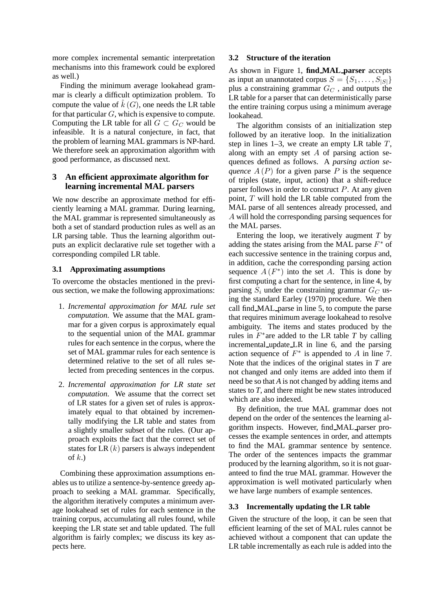more complex incremental semantic interpretation mechanisms into this framework could be explored as well.)

Finding the minimum average lookahead grammar is clearly a difficult optimization problem. To compute the value of  $\hat{k}(G)$ , one needs the LR table<br>for that particular G, which is expensive to compute for that particular  $G$ , which is expensive to compute. Computing the LR table for all  $G \subset G_C$  would be infeasible. It is a natural conjecture, in fact, that the problem of learning MAL grammars is NP-hard. We therefore seek an approximation algorithm with good performance, as discussed next.

## **3 An efficient approximate algorithm for learning incremental MAL parsers**

We now describe an approximate method for efficiently learning a MAL grammar. During learning, the MAL grammar is represented simultaneously as both a set of standard production rules as well as an LR parsing table. Thus the learning algorithm outputs an explicit declarative rule set together with a corresponding compiled LR table.

### **3.1 Approximating assumptions**

To overcome the obstacles mentioned in the previous section, we make the following approximations:

- 1. *Incremental approximation for MAL rule set computation*. We assume that the MAL grammar for a given corpus is approximately equal to the sequential union of the MAL grammar rules for each sentence in the corpus, where the set of MAL grammar rules for each sentence is determined relative to the set of all rules selected from preceding sentences in the corpus.
- 2. *Incremental approximation for LR state set computation*. We assume that the correct set of LR states for a given set of rules is approximately equal to that obtained by incrementally modifying the LR table and states from a slightly smaller subset of the rules. (Our approach exploits the fact that the correct set of states for LR $(k)$  parsers is always independent of  $k$ .)

Combining these approximation assumptions enables us to utilize a sentence-by-sentence greedy approach to seeking a MAL grammar. Specifically, the algorithm iteratively computes a minimum average lookahead set of rules for each sentence in the training corpus, accumulating all rules found, while keeping the LR state set and table updated. The full algorithm is fairly complex; we discuss its key aspects here.

#### **3.2 Structure of the iteration**

As shown in Figure 1, **find MAL parser** accepts as input an unannotated corpus  $S = \{S_1, \ldots, S_{|S|}\}\$ plus a constraining grammar  $G_C$ , and outputs the LR table for a parser that can deterministically parse the entire training corpus using a minimum average lookahead.

The algorithm consists of an initialization step followed by an iterative loop. In the initialization step in lines 1–3, we create an empty LR table  $T$ , along with an empty set  $A$  of parsing action sequences defined as follows. A *parsing action sequence*  $A(P)$  for a given parse P is the sequence of triples (state, input, action) that a shift-reduce parser follows in order to construct  $P$ . At any given point,  $T$  will hold the LR table computed from the MAL parse of all sentences already processed, and A will hold the corresponding parsing sequences for the MAL parses.

Entering the loop, we iteratively augment *T* by adding the states arising from the MAL parse  $F^*$  of each successive sentence in the training corpus and, in addition, cache the corresponding parsing action sequence  $A(F^*)$  into the set A. This is done by first computing a chart for the sentence, in line 4, by parsing  $S_i$  under the constraining grammar  $G_C$  using the standard Earley (1970) procedure. We then call find MAL parse in line 5, to compute the parse that requires minimum average lookahead to resolve ambiguity. The items and states produced by the rules in  $F^*$ are added to the LR table *T* by calling incremental update LR in line 6, and the parsing action sequence of  $F^*$  is appended to A in line 7. Note that the indices of the original states in *T* are not changed and only items are added into them if need be so that *A* is not changed by adding items and states to *T*, and there might be new states introduced which are also indexed.

By definition, the true MAL grammar does not depend on the order of the sentences the learning algorithm inspects. However, find MAL parser processes the example sentences in order, and attempts to find the MAL grammar sentence by sentence. The order of the sentences impacts the grammar produced by the learning algorithm, so it is not guaranteed to find the true MAL grammar. However the approximation is well motivated particularly when we have large numbers of example sentences.

### **3.3 Incrementally updating the LR table**

Given the structure of the loop, it can be seen that efficient learning of the set of MAL rules cannot be achieved without a component that can update the LR table incrementally as each rule is added into the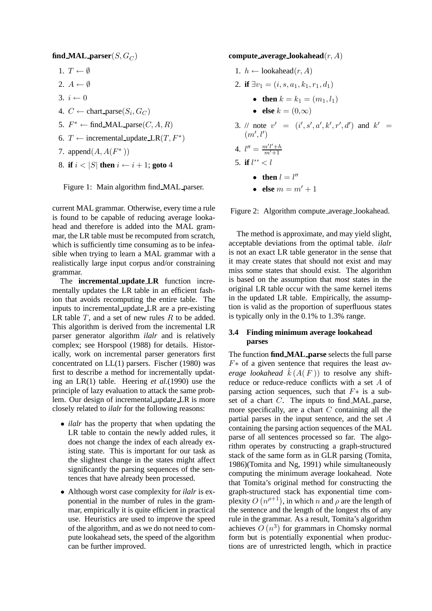### $find\_MAL\_parser(S, G_C)$

- 1.  $T \leftarrow \emptyset$
- 2.  $A \leftarrow \emptyset$
- 3.  $i \leftarrow 0$
- 4.  $C \leftarrow$  chart\_parse $(S_i, G_C)$
- 5.  $F^* \leftarrow \text{find\_MAL\_parse}(C, A, R)$
- 6. *T* ← incremental\_update\_LR $(T, F^*)$
- 7. append $(A, A(F^*))$
- 8. **if**  $i < |S|$  **then**  $i \leftarrow i + 1$ ; **goto** 4



current MAL grammar. Otherwise, every time a rule is found to be capable of reducing average lookahead and therefore is added into the MAL grammar, the LR table must be recomputed from scratch, which is sufficiently time consuming as to be infeasible when trying to learn a MAL grammar with a realistically large input corpus and/or constraining grammar.

The **incremental update LR** function incrementally updates the LR table in an efficient fashion that avoids recomputing the entire table. The inputs to incremental update LR are a pre-existing LR table  $T$ , and a set of new rules  $R$  to be added. This algorithm is derived from the incremental LR parser generator algorithm *ilalr* and is relatively complex; see Horspool (1988) for details. Historically, work on incremental parser generators first concentrated on LL(1) parsers. Fischer (1980) was first to describe a method for incrementally updating an LR(1) table. Heering *et al.*(1990) use the principle of lazy evaluation to attack the same problem. Our design of incremental update LR is more closely related to *ilalr* for the following reasons:

- *ilalr* has the property that when updating the LR table to contain the newly added rules, it does not change the index of each already existing state. This is important for our task as the slightest change in the states might affect significantly the parsing sequences of the sentences that have already been processed.
- Although worst case complexity for *ilalr* is exponential in the number of rules in the grammar, empirically it is quite efficient in practical use. Heuristics are used to improve the speed of the algorithm, and as we do not need to compute lookahead sets, the speed of the algorithm can be further improved.

**compute average lookahead**(r, A)

- 1.  $h \leftarrow \text{lookahead}(r, A)$
- 2. **if**  $\exists v_1 = (i, s, a_1, k_1, r_1, d_1)$ 
	- **then**  $k = k_1 = (m_1, l_1)$
	- **else**  $k = (0, \infty)$
- 3. // note  $v' = (i', s', a', k', r', d')$  and  $k' = (m' l')$  $(m', l'$  $\overline{\phantom{a}}$ 4.  $l'' = \frac{m'l' + h}{m' + 1}$  $m'+1$
- 5. **if**  $l'' < l$ 
	- **then**  $l = l''$
	- **else**  $m = m' + 1$

Figure 2: Algorithm compute average lookahead.

The method is approximate, and may yield slight, acceptable deviations from the optimal table. *ilalr* is not an exact LR table generator in the sense that it may create states that should not exist and may miss some states that should exist. The algorithm is based on the assumption that *most* states in the original LR table occur with the same kernel items in the updated LR table. Empirically, the assumption is valid as the proportion of superfluous states is typically only in the 0.1% to 1.3% range.

#### **3.4 Finding minimum average lookahead parses**

The function **find MAL parse** selects the full parse F∗ of a given sentence that requires the least *average lookahead*  $\hat{k}(A(F))$  to resolve any shift-<br>reduce or reduce-reduce conflicts with a set A of reduce or reduce-reduce conflicts with a set A of parsing action sequences, such that  $F*$  is a subset of a chart C. The inputs to find MAL parse, more specifically, are a chart  $C$  containing all the partial parses in the input sentence, and the set A containing the parsing action sequences of the MAL parse of all sentences processed so far. The algorithm operates by constructing a graph-structured stack of the same form as in GLR parsing (Tomita, 1986)(Tomita and Ng, 1991) while simultaneously computing the minimum average lookahead. Note that Tomita's original method for constructing the graph-structured stack has exponential time complexity  $O(n^{\rho+1})$ , in which n and  $\rho$  are the length of the sentence and the length of the longest rhs of any rule in the grammar. As a result, Tomita's algorithm achieves  $O(n^3)$  for grammars in Chomsky normal form but is potentially exponential when productions are of unrestricted length, which in practice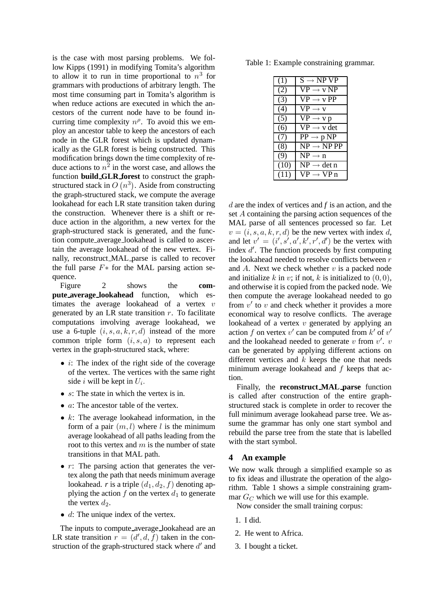is the case with most parsing problems. We follow Kipps (1991) in modifying Tomita's algorithm to allow it to run in time proportional to  $n<sup>3</sup>$  for grammars with productions of arbitrary length. The most time consuming part in Tomita's algorithm is when reduce actions are executed in which the ancestors of the current node have to be found incurring time complexity  $n^{\rho}$ . To avoid this we employ an ancestor table to keep the ancestors of each node in the GLR forest which is updated dynamically as the GLR forest is being constructed. This modification brings down the time complexity of reduce actions to  $n^2$  in the worst case, and allows the function **build GLR forest** to construct the graphstructured stack in  $O(n^3)$ . Aside from constructing the graph-structured stack, we compute the average lookahead for each LR state transition taken during the construction. Whenever there is a shift or reduce action in the algorithm, a new vertex for the graph-structured stack is generated, and the function compute average lookahead is called to ascertain the average lookahead of the new vertex. Finally, reconstruct MAL parse is called to recover the full parse  $F*$  for the MAL parsing action sequence.

Figure 2 shows the **compute average lookahead** function, which estimates the average lookahead of a vertex  $v$ generated by an LR state transition  $r$ . To facilitate computations involving average lookahead, we use a 6-tuple  $(i, s, a, k, r, d)$  instead of the more common triple form  $(i, s, a)$  to represent each vertex in the graph-structured stack, where:

- $\bullet$  *i*: The index of the right side of the coverage of the vertex. The vertices with the same right side i will be kept in  $U_i$ .
- $s$ : The state in which the vertex is in.
- *a*: The ancestor table of the vertex.
- $k$ : The average lookahead information, in the form of a pair  $(m, l)$  where l is the minimum average lookahead of all paths leading from the root to this vertex and  $m$  is the number of state transitions in that MAL path.
- $r$ : The parsing action that generates the vertex along the path that needs minimum average lookahead. *r* is a triple  $(d_1, d_2, f)$  denoting applying the action  $f$  on the vertex  $d_1$  to generate the vertex  $d_2$ .
- $\bullet$  d: The unique index of the vertex.

The inputs to compute average lookahead are an LR state transition  $r = (d', d, f)$  taken in the construction of the graph-structured stack where d' and struction of the graph-structured stack where  $d'$  and

Table 1: Example constraining grammar.

| (1)  | $S \rightarrow NP VP$                           |
|------|-------------------------------------------------|
| (2)  | $VP \rightarrow v NP$                           |
| (3)  | $VP \rightarrow v PP$                           |
| (4)  | $VP \rightarrow V$                              |
| (5)  | $VP \rightarrow VP$                             |
| (6)  | $VP \rightarrow v$ det                          |
| (7)  | $PP \rightarrow p NP$                           |
| (8)  | $NP \rightarrow NP PP$                          |
| (9)  | $NP \rightarrow n$                              |
| (10) | $NP \rightarrow det n$                          |
| (11) | $\mathrm{VP}\rightarrow\mathrm{VP}\,\mathrm{n}$ |

d are the index of vertices and *f* is an action, and the set A containing the parsing action sequences of the MAL parse of all sentences processed so far. Let  $v = (i, s, a, k, r, d)$  be the new vertex with index d, and let  $v' = (i', s', a', k', r', d')$  be the vertex with index d' The function proceeds by first computing index d'. The function proceeds by first computing the lookahead needed to resolve conflicts between  $r$ and A. Next we check whether  $v$  is a packed node and initialize k in v; if not, k is initialized to  $(0, 0)$ , and otherwise it is copied from the packed node. We then compute the average lookahead needed to go from  $v'$  to v and check whether it provides a more economical way to resolve conflicts. The average lookahead of a vertex  $v$  generated by applying an action f on vertex  $v'$  can be computed from  $k'$  of  $v'$ and the lookahead needed to generate  $v$  from  $v'$ .  $v$ can be generated by applying different actions on different vertices and  $k$  keeps the one that needs minimum average lookahead and  $f$  keeps that action.

Finally, the **reconstruct MAL parse** function is called after construction of the entire graphstructured stack is complete in order to recover the full minimum average lookahead parse tree. We assume the grammar has only one start symbol and rebuild the parse tree from the state that is labelled with the start symbol.

### **4 An example**

We now walk through a simplified example so as to fix ideas and illustrate the operation of the algorithm. Table 1 shows a simple constraining grammar  $G_C$  which we will use for this example.

Now consider the small training corpus:

- 1. I did.
- 2. He went to Africa.
- 3. I bought a ticket.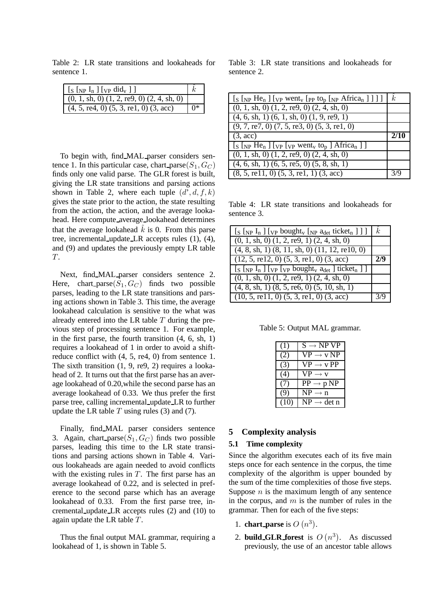Table 2: LR state transitions and lookaheads for sentence 1.

| $\lfloor$ S $\lfloor$ <sub>NP</sub> $\lfloor$ <sub>n</sub> $\rfloor$ $\lfloor$ <sub>VP</sub> did <sub>v</sub> $\lfloor$ $\rfloor$ |    |
|-----------------------------------------------------------------------------------------------------------------------------------|----|
| $(0, 1, sh, 0)$ $(1, 2, re9, 0)$ $(2, 4, sh, 0)$                                                                                  |    |
| $(4, 5, \text{red}, 0)$ $(5, 3, \text{rel}, 0)$ $(3, \text{acc})$                                                                 | በ* |

To begin with, find MAL parser considers sentence 1. In this particular case, chart parse $(S_1, G_C)$ finds only one valid parse. The GLR forest is built, giving the LR state transitions and parsing actions shown in Table 2, where each tuple  $(d', d, f, k)$ gives the state prior to the action, the state resulting from the action, the action, and the average lookahead. Here compute average lookahead determines that the average lookahead  $\hat{k}$  is 0. From this parse tree, incremental update LR accepts rules (1), (4), and (9) and updates the previously empty LR table T.

Next, find MAL parser considers sentence 2. Here, chart\_parse( $S_1, G_C$ ) finds two possible parses, leading to the LR state transitions and parsing actions shown in Table 3. This time, the average lookahead calculation is sensitive to the what was already entered into the LR table  $T$  during the previous step of processing sentence 1. For example, in the first parse, the fourth transition (4, 6, sh, 1) requires a lookahead of 1 in order to avoid a shiftreduce conflict with (4, 5, re4, 0) from sentence 1. The sixth transition (1, 9, re9, 2) requires a lookahead of 2. It turns out that the first parse has an average lookahead of 0.20,while the second parse has an average lookahead of 0.33. We thus prefer the first parse tree, calling incremental update LR to further update the LR table  $T$  using rules (3) and (7).

Finally, find MAL parser considers sentence 3. Again, chart parse $(S_1, G_C)$  finds two possible parses, leading this time to the LR state transitions and parsing actions shown in Table 4. Various lookaheads are again needed to avoid conflicts with the existing rules in  $T$ . The first parse has an average lookahead of 0.22, and is selected in preference to the second parse which has an average lookahead of 0.33. From the first parse tree, incremental update LR accepts rules (2) and (10) to again update the LR table T.

Thus the final output MAL grammar, requiring a lookahead of 1, is shown in Table 5.

Table 3: LR state transitions and lookaheads for sentence 2.

| $\left[\right]$ $\left[\right]$ $\left[\right]$ $\left[\right]$ $\left[\right]$ $\left[\right]$ $\left[\right]$ $\left[\right]$ $\left[\right]$ $\left[\right]$ $\left[\right]$ $\left[\right]$ $\left[\right]$ $\left[\right]$ $\left[\right]$ $\left[\right]$ $\left[\right]$ $\left[\right]$ $\left[\right]$ $\left[\right]$ $\left[\right]$ $\left[\right]$ $\left[\right]$ $\left[\right]$ $\left[\right]$ $\left[\right]$ $\left[\right]$ $\left[\right$ | $\boldsymbol{k}$ |
|----------------------------------------------------------------------------------------------------------------------------------------------------------------------------------------------------------------------------------------------------------------------------------------------------------------------------------------------------------------------------------------------------------------------------------------------------------------|------------------|
| $\overline{(0, 1, sh, 0)}$ $(1, 2, re9, 0)$ $(2, 4, sh, 0)$                                                                                                                                                                                                                                                                                                                                                                                                    |                  |
| $(4, 6, sh, 1)$ $(6, 1, sh, 0)$ $(1, 9, re9, 1)$                                                                                                                                                                                                                                                                                                                                                                                                               |                  |
| $(9, 7, \text{re}7, 0)$ $(7, 5, \text{re}3, 0)$ $(5, 3, \text{re}1, 0)$                                                                                                                                                                                                                                                                                                                                                                                        |                  |
| $(3, \text{acc})$                                                                                                                                                                                                                                                                                                                                                                                                                                              | 2/10             |
| $\left[\begin{smallmatrix}S\end{smallmatrix}\right]$ $\left[\begin{smallmatrix}V_P\end{smallmatrix}\right]$ $\left[\begin{smallmatrix}V_P\end{smallmatrix}\right]$ went <sub>v</sub> to <sub>p</sub> $\left[\begin{smallmatrix}A_f & A_f \end{smallmatrix}\right]$                                                                                                                                                                                             |                  |
| $\overline{(0, 1, sh, 0)}$ $(1, 2, re9, 0)$ $(2, 4, sh, 0)$                                                                                                                                                                                                                                                                                                                                                                                                    |                  |
| $(4, 6, sh, 1)$ $(6, 5, re5, 0)$ $(5, 8, sh, 1)$                                                                                                                                                                                                                                                                                                                                                                                                               |                  |
| $(8, 5,$ re11, 0) $(5, 3,$ re1, 1) $(3,$ acc)                                                                                                                                                                                                                                                                                                                                                                                                                  | 3/9              |

Table 4: LR state transitions and lookaheads for sentence 3.

| $[s \ln P I_n]$ [vp bought <sub>v</sub> [Np a <sub>det</sub> ticket <sub>n</sub> ]]] | k.  |
|--------------------------------------------------------------------------------------|-----|
| $(0, 1, sh, 0)$ $(1, 2, re9, 1)$ $(2, 4, sh, 0)$                                     |     |
| $(4, 8, sh, 1)$ $(8, 11, sh, 0)$ $(11, 12, rel0, 0)$                                 |     |
| $(12, 5,$ re12, 0) $(5, 3,$ re1, 0) $(3,$ acc)                                       | 2/9 |
| $[s \text{ [NP I_n ] } [v_P[v_P bound_t, a_{det}]$ ticket <sub>n</sub> ] ]           |     |
| $(0, 1, sh, 0)$ $(1, 2, re9, 1)$ $(2, 4, sh, 0)$                                     |     |
| $(4, 8, sh, 1)$ $(8, 5, re6, 0)$ $(5, 10, sh, 1)$                                    |     |
| $(10, 5, \text{rel}1, 0)$ $(5, 3, \text{rel}, 0)$ $(3, \text{acc})$                  | 3/9 |

Table 5: Output MAL grammar.

| (1)  | $S \rightarrow NP VP$                            |
|------|--------------------------------------------------|
| (2)  | $\mathrm{VP}\rightarrow \mathrm{v}\,\mathrm{NP}$ |
| (3)  | $VP \rightarrow VP$                              |
| (4)  | $VP \rightarrow V$                               |
| (7)  | $PP \rightarrow p NP$                            |
| (9)  | $NP \rightarrow n$                               |
| (10) | $NP \rightarrow det n$                           |

### **5 Complexity analysis**

#### **5.1 Time complexity**

Since the algorithm executes each of its five main steps once for each sentence in the corpus, the time complexity of the algorithm is upper bounded by the sum of the time complexities of those five steps. Suppose  $n$  is the maximum length of any sentence in the corpus, and  $m$  is the number of rules in the grammar. Then for each of the five steps:

- 1. **chart\_parse** is  $O(n^3)$ .
- 2. **build\_GLR\_forest** is  $O(n^3)$ . As discussed previously, the use of an ancestor table allows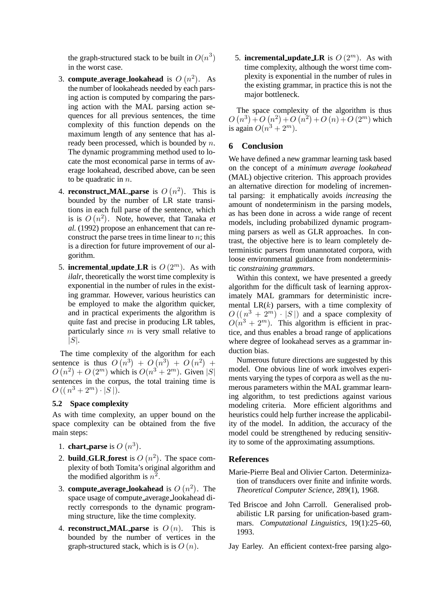the graph-structured stack to be built in  $O(n^3)$  $\overline{a}$ in the worst case.

- 3. **compute\_average\_lookahead** is  $O(n^2)$ . As the number of lookaheads needed by each parsing action is computed by comparing the parsing action with the MAL parsing action sequences for all previous sentences, the time complexity of this function depends on the maximum length of any sentence that has already been processed, which is bounded by  $n$ . The dynamic programming method used to locate the most economical parse in terms of average lookahead, described above, can be seen to be quadratic in n.
- 4. **reconstruct\_MAL\_parse** is  $O(n^2)$ . This is bounded by the number of LR state transitions in each full parse of the sentence, which is is  $O(n^2)$ . Note, however, that Tanaka *et al.* (1992) propose an enhancement that can reconstruct the parse trees in time linear to  $n$ ; this is a direction for future improvement of our algorithm.
- 5. **incremental update LR** is  $O(2^m)$ . As with *ilalr*, theoretically the worst time complexity is exponential in the number of rules in the existing grammar. However, various heuristics can be employed to make the algorithm quicker, and in practical experiments the algorithm is quite fast and precise in producing LR tables, particularly since  $m$  is very small relative to  $|S|$ .

The time complexity of the algorithm for each sentence is thus  $O(n^3) + O(n^3) + O(n^2)$ <br> $O(n^2) + O(2^m)$  which is  $O(n^3 + 2^m)$  Given  $O(n^2) + O(2^m)$  which is  $O(n^3 + 2^m)$ . Given  $|S|$ <br>septences in the corpus the total training time is sentences in the corpus, the total training time is  $O((n^3+2^m)\cdot |S|).$ 

#### **5.2 Space complexity**

As with time complexity, an upper bound on the space complexity can be obtained from the five main steps:

- 1. **chart\_parse** is  $O(n^3)$ .
- 2. **build\_GLR\_forest** is  $O(n^2)$ . The space complexity of both Tomita's original algorithm and the modified algorithm is  $n^2$ .
- 3. **compute\_average\_lookahead** is  $O(n^2)$ . The space usage of compute average lookahead directly corresponds to the dynamic programming structure, like the time complexity.
- 4. **reconstruct MAL parse** is  $O(n)$ . This is bounded by the number of vertices in the graph-structured stack, which is is  $O(n)$ .

5. **incremental\_update\_LR** is  $O(2^m)$ . As with time complexity, although the worst time complexity is exponential in the number of rules in the existing grammar, in practice this is not the major bottleneck.

The space complexity of the algorithm is thus  $O(n^3) + O(n^2) + O(n^2) + O(n) + O(2^m)$  which<br>is again  $O(n^3 + 2^m)$ is again  $O(n^3 + 2^m)$ .

#### **6 Conclusion**

We have defined a new grammar learning task based on the concept of a *minimum average lookahead* (MAL) objective criterion. This approach provides an alternative direction for modeling of incremental parsing: it emphatically avoids *increasing* the amount of nondeterminism in the parsing models, as has been done in across a wide range of recent models, including probabilized dynamic programming parsers as well as GLR approaches. In contrast, the objective here is to learn completely deterministic parsers from unannotated corpora, with loose environmental guidance from nondeterministic *constraining grammars*.

Within this context, we have presented a greedy algorithm for the difficult task of learning approximately MAL grammars for deterministic incremental  $LR(k)$  parsers, with a time complexity of  $O((n^3 + 2^m) \cdot |S|)$  and a space complexity of  $O(n^3 + 2^m)$ . This algorithm is efficient in practice, and thus enables a broad range of applications where degree of lookahead serves as a grammar induction bias.

Numerous future directions are suggested by this model. One obvious line of work involves experiments varying the types of corpora as well as the numerous parameters within the MAL grammar learning algorithm, to test predictions against various modeling criteria. More efficient algorithms and heuristics could help further increase the applicability of the model. In addition, the accuracy of the model could be strengthened by reducing sensitivity to some of the approximating assumptions.

#### **References**

- Marie-Pierre Beal and Olivier Carton. Determinization of transducers over finite and infinite words. *Theoretical Computer Science*, 289(1), 1968.
- Ted Briscoe and John Carroll. Generalised probabilistic LR parsing for unification-based grammars. *Computational Linguistics*, 19(1):25–60, 1993.
- Jay Earley. An efficient context-free parsing algo-